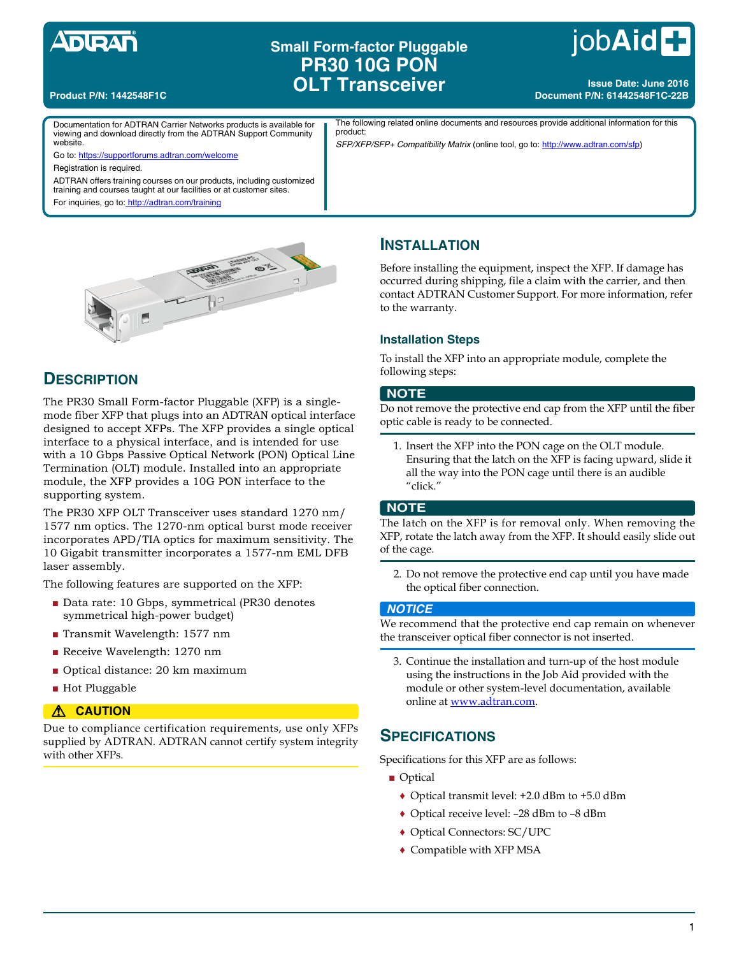# **Small Form-factor Pluggable PR30 10G PON OLT Transceiver**

# job**Aid**

**Issue Date: June 2016 Document P/N: 61442548F1C-22B**

#### **Product P/N: 1442548F1C**

Documentation for ADTRAN Carrier Networks products is available for viewing and download directly from the ADTRAN Support Community website.

The following related online documents and resources provide additional information for this product:

*SFP/XFP/SFP+ Compatibility Matrix* (online tool, go to: http://www.adtran.com/sfp)

Registration is required.

ADTRAN offers training courses on our products, including customized training and courses taught at our facilities or at customer sites.

For inquiries, go to: http://adtran.com/training

Go to: https://supportforums.adtran.com/welcome



# **DESCRIPTION**

The PR30 Small Form-factor Pluggable (XFP) is a singlemode fiber XFP that plugs into an ADTRAN optical interface designed to accept XFPs. The XFP provides a single optical interface to a physical interface, and is intended for use with a 10 Gbps Passive Optical Network (PON) Optical Line Termination (OLT) module. Installed into an appropriate module, the XFP provides a 10G PON interface to the supporting system.

The PR30 XFP OLT Transceiver uses standard 1270 nm/ 1577 nm optics. The 1270-nm optical burst mode receiver incorporates APD/TIA optics for maximum sensitivity. The 10 Gigabit transmitter incorporates a 1577-nm EML DFB laser assembly.

The following features are supported on the XFP:

- Data rate: 10 Gbps, symmetrical (PR30 denotes symmetrical high-power budget)
- Transmit Wavelength: 1577 nm
- Receive Wavelength: 1270 nm
- Optical distance: 20 km maximum
- Hot Pluggable

#### $\triangle$  **CAUTION**

Due to compliance certification requirements, use only XFPs supplied by ADTRAN. ADTRAN cannot certify system integrity with other XFPs.

# **INSTALLATION**

Before installing the equipment, inspect the XFP. If damage has occurred during shipping, file a claim with the carrier, and then contact ADTRAN Customer Support. For more information, refer to the warranty.

#### **Installation Steps**

To install the XFP into an appropriate module, complete the following steps:

#### **NOTE**

Do not remove the protective end cap from the XFP until the fiber optic cable is ready to be connected.

1. Insert the XFP into the PON cage on the OLT module. Ensuring that the latch on the XFP is facing upward, slide it all the way into the PON cage until there is an audible "click."

#### **NOTE**

The latch on the XFP is for removal only. When removing the XFP, rotate the latch away from the XFP. It should easily slide out of the cage.

2. Do not remove the protective end cap until you have made the optical fiber connection.

#### *NOTICE*

We recommend that the protective end cap remain on whenever the transceiver optical fiber connector is not inserted.

3. Continue the installation and turn-up of the host module using the instructions in the Job Aid provided with the module or other system-level documentation, available online at www.adtran.com.

# **SPECIFICATIONS**

Specifications for this XFP are as follows:

- Optical
	- ♦ Optical transmit level: +2.0 dBm to +5.0 dBm
	- ♦ Optical receive level: –28 dBm to –8 dBm
	- ♦ Optical Connectors: SC/UPC
	- ♦ Compatible with XFP MSA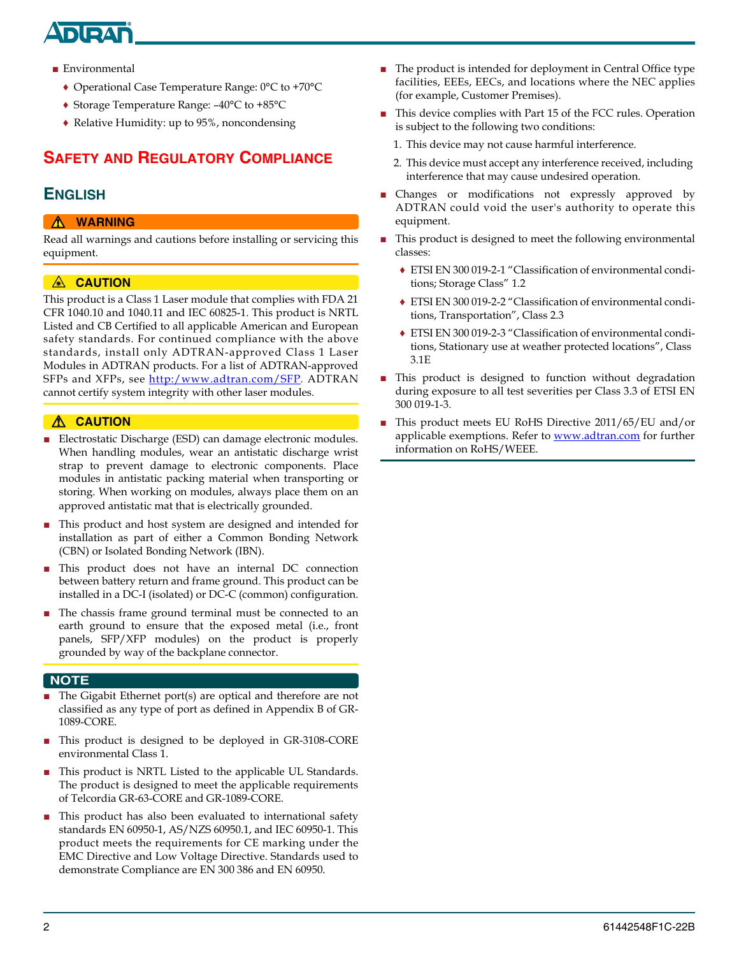# **NDA**

- Environmental
	- ♦ Operational Case Temperature Range: 0°C to +70°C
	- ♦ Storage Temperature Range: –40°C to +85°C
	- ♦ Relative Humidity: up to 95%, noncondensing

# **SAFETY AND REGULATORY COMPLIANCE**

# **ENGLISH**

#### **A** WARNING

Read all warnings and cautions before installing or servicing this equipment.

#### A **CAUTION**

This product is a Class 1 Laser module that complies with FDA 21 CFR 1040.10 and 1040.11 and IEC 60825-1. This product is NRTL Listed and CB Certified to all applicable American and European safety standards. For continued compliance with the above standards, install only ADTRAN-approved Class 1 Laser Modules in ADTRAN products. For a list of ADTRAN-approved SFPs and XFPs, see http:/www.adtran.com/SFP*.* ADTRAN cannot certify system integrity with other laser modules.

#### **A** CAUTION

- Electrostatic Discharge (ESD) can damage electronic modules. When handling modules, wear an antistatic discharge wrist strap to prevent damage to electronic components. Place modules in antistatic packing material when transporting or storing. When working on modules, always place them on an approved antistatic mat that is electrically grounded.
- This product and host system are designed and intended for installation as part of either a Common Bonding Network (CBN) or Isolated Bonding Network (IBN).
- This product does not have an internal DC connection between battery return and frame ground. This product can be installed in a DC-I (isolated) or DC-C (common) configuration.
- The chassis frame ground terminal must be connected to an earth ground to ensure that the exposed metal (i.e., front panels, SFP/XFP modules) on the product is properly grounded by way of the backplane connector.

#### **NOTE**

- The Gigabit Ethernet port(s) are optical and therefore are not classified as any type of port as defined in Appendix B of GR-1089-CORE.
- This product is designed to be deployed in GR-3108-CORE environmental Class 1.
- This product is NRTL Listed to the applicable UL Standards. The product is designed to meet the applicable requirements of Telcordia GR-63-CORE and GR-1089-CORE.
- This product has also been evaluated to international safety standards EN 60950-1, AS/NZS 60950.1, and IEC 60950-1. This product meets the requirements for CE marking under the EMC Directive and Low Voltage Directive. Standards used to demonstrate Compliance are EN 300 386 and EN 60950.
- The product is intended for deployment in Central Office type facilities, EEEs, EECs, and locations where the NEC applies (for example, Customer Premises).
- This device complies with Part 15 of the FCC rules. Operation is subject to the following two conditions:
	- 1. This device may not cause harmful interference.
	- 2. This device must accept any interference received, including interference that may cause undesired operation.
- Changes or modifications not expressly approved by ADTRAN could void the user's authority to operate this equipment.
- This product is designed to meet the following environmental classes:
	- ♦ ETSI EN 300 019-2-1 "Classification of environmental conditions; Storage Class" 1.2
	- ♦ ETSI EN 300 019-2-2 "Classification of environmental conditions, Transportation", Class 2.3
	- ♦ ETSI EN 300 019-2-3 "Classification of environmental conditions, Stationary use at weather protected locations", Class 3.1E
- This product is designed to function without degradation during exposure to all test severities per Class 3.3 of ETSI EN 300 019-1-3.
- [This product meets EU RoHS Directive 2011/65/EU and/or](http://www.adtran.com) [applicable exemptions. Refer to](http://www.adtran.com) www.adtran.com for further information on RoHS/WEEE.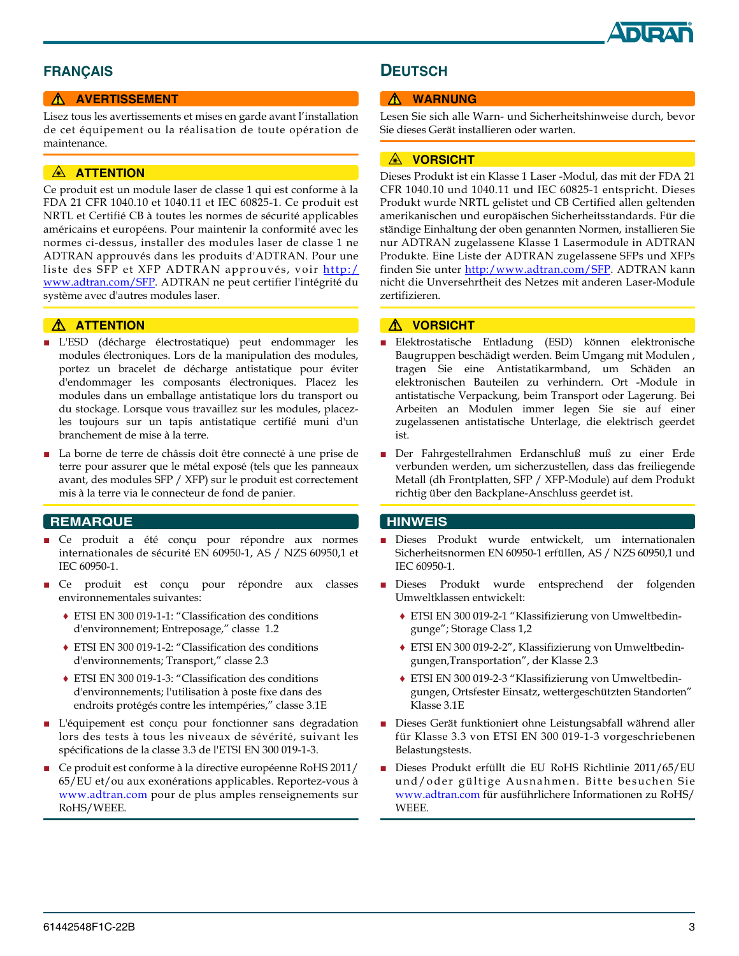

### **FRANÇAIS**

#### **A AVERTISSEMENT**

Lisez tous les avertissements et mises en garde avant l'installation de cet équipement ou la réalisation de toute opération de maintenance.

#### **A ATTENTION**

Ce produit est un module laser de classe 1 qui est conforme à la FDA 21 CFR 1040.10 et 1040.11 et IEC 60825-1. Ce produit est NRTL et Certifié CB à toutes les normes de sécurité applicables américains et européens. Pour maintenir la conformité avec les normes ci-dessus, installer des modules laser de classe 1 ne ADTRAN approuvés dans les produits d'ADTRAN. Pour une liste des SFP et XFP ADTRAN approuvés, voir http:/ www.adtran.com/SFP*.* ADTRAN ne peut certifier l'intégrité du système avec d'autres modules laser.

#### $\triangle$  ATTENTION

- L'ESD (décharge électrostatique) peut endommager les modules électroniques. Lors de la manipulation des modules, portez un bracelet de décharge antistatique pour éviter d'endommager les composants électroniques. Placez les modules dans un emballage antistatique lors du transport ou du stockage. Lorsque vous travaillez sur les modules, placezles toujours sur un tapis antistatique certifié muni d'un branchement de mise à la terre.
- La borne de terre de châssis doit être connecté à une prise de terre pour assurer que le métal exposé (tels que les panneaux avant, des modules SFP / XFP) sur le produit est correctement mis à la terre via le connecteur de fond de panier.

#### **REMARQUE**

- Ce produit a été conçu pour répondre aux normes internationales de sécurité EN 60950-1, AS / NZS 60950,1 et IEC 60950-1.
- Ce produit est conçu pour répondre aux classes environnementales suivantes:
	- ♦ ETSI EN 300 019-1-1: "Classification des conditions d'environnement; Entreposage," classe 1.2
	- ♦ ETSI EN 300 019-1-2: "Classification des conditions d'environnements; Transport," classe 2.3
	- ♦ ETSI EN 300 019-1-3: "Classification des conditions d'environnements; l'utilisation à poste fixe dans des endroits protégés contre les intempéries," classe 3.1E
- L'équipement est conçu pour fonctionner sans degradation lors des tests à tous les niveaux de sévérité, suivant les spécifications de la classe 3.3 de l'ETSI EN 300 019-1-3.
- Ce produit est conforme à la directive européenne RoHS 2011/ 65/EU et/ou aux exonérations applicables. Reportez-vous à www.adtran.com pour de plus amples renseignements sur RoHS/WEEE.

### **DEUTSCH**

#### ! **WARNUNG**

Lesen Sie sich alle Warn- und Sicherheitshinweise durch, bevor Sie dieses Gerät installieren oder warten.

#### **A VORSICHT**

Dieses Produkt ist ein Klasse 1 Laser -Modul, das mit der FDA 21 CFR 1040.10 und 1040.11 und IEC 60825-1 entspricht. Dieses Produkt wurde NRTL gelistet und CB Certified allen geltenden amerikanischen und europäischen Sicherheitsstandards. Für die ständige Einhaltung der oben genannten Normen, installieren Sie nur ADTRAN zugelassene Klasse 1 Lasermodule in ADTRAN Produkte. Eine Liste der ADTRAN zugelassene SFPs und XFPs finden Sie unter http:/www.adtran.com/SFP. ADTRAN kann nicht die Unversehrtheit des Netzes mit anderen Laser-Module zertifizieren.

#### ! **VORSICHT**

- Elektrostatische Entladung (ESD) können elektronische Baugruppen beschädigt werden. Beim Umgang mit Modulen , tragen Sie eine Antistatikarmband, um Schäden an elektronischen Bauteilen zu verhindern. Ort -Module in antistatische Verpackung, beim Transport oder Lagerung. Bei Arbeiten an Modulen immer legen Sie sie auf einer zugelassenen antistatische Unterlage, die elektrisch geerdet ist.
- Der Fahrgestellrahmen Erdanschluß muß zu einer Erde verbunden werden, um sicherzustellen, dass das freiliegende Metall (dh Frontplatten, SFP / XFP-Module) auf dem Produkt richtig über den Backplane-Anschluss geerdet ist.

#### **HINWEIS**

- Dieses Produkt wurde entwickelt, um internationalen Sicherheitsnormen EN 60950-1 erfüllen, AS / NZS 60950,1 und IEC 60950-1.
- Dieses Produkt wurde entsprechend der folgenden Umweltklassen entwickelt:
	- ♦ ETSI EN 300 019-2-1 "Klassifizierung von Umweltbedingunge"; Storage Class 1,2
	- ♦ ETSI EN 300 019-2-2", Klassifizierung von Umweltbedingungen,Transportation", der Klasse 2.3
	- ♦ ETSI EN 300 019-2-3 "Klassifizierung von Umweltbedingungen, Ortsfester Einsatz, wettergeschützten Standorten" Klasse 3.1E
- Dieses Gerät funktioniert ohne Leistungsabfall während aller für Klasse 3.3 von ETSI EN 300 019-1-3 vorgeschriebenen Belastungstests.
- Dieses Produkt erfüllt die EU RoHS Richtlinie 2011/65/EU und/oder gültige Ausnahmen. Bitte besuchen Sie www.adtran.com für ausführlichere Informationen zu RoHS/ **WEEE**